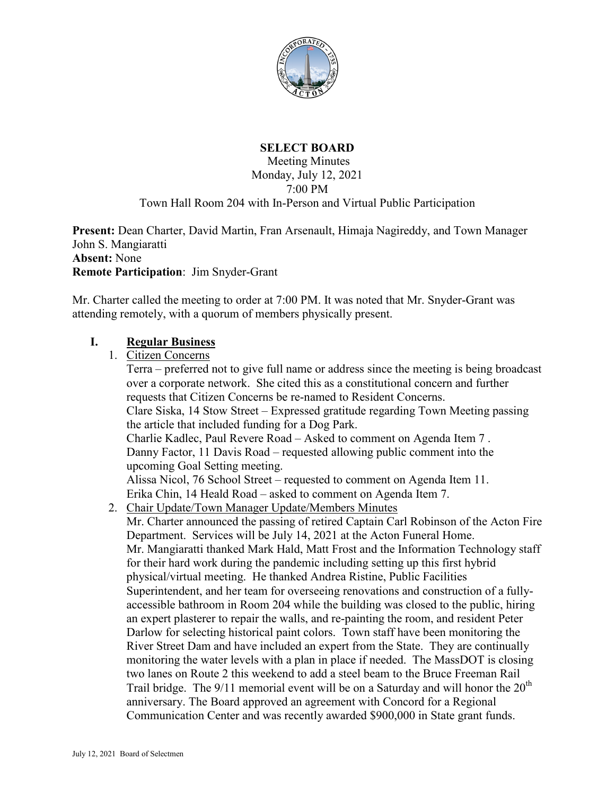

# **SELECT BOARD**

Meeting Minutes Monday, July 12, 2021 7:00 PM

#### Town Hall Room 204 with In-Person and Virtual Public Participation

**Present:** Dean Charter, David Martin, Fran Arsenault, Himaja Nagireddy, and Town Manager John S. Mangiaratti **Absent:** None **Remote Participation**: Jim Snyder-Grant

Mr. Charter called the meeting to order at 7:00 PM. It was noted that Mr. Snyder-Grant was attending remotely, with a quorum of members physically present.

#### **I. Regular Business**

1. Citizen Concerns Terra – preferred not to give full name or address since the meeting is being broadcast over a corporate network. She cited this as a constitutional concern and further requests that Citizen Concerns be re-named to Resident Concerns. Clare Siska, 14 Stow Street – Expressed gratitude regarding Town Meeting passing the article that included funding for a Dog Park. Charlie Kadlec, Paul Revere Road – Asked to comment on Agenda Item 7 . Danny Factor, 11 Davis Road – requested allowing public comment into the upcoming Goal Setting meeting. Alissa Nicol, 76 School Street – requested to comment on Agenda Item 11. Erika Chin, 14 Heald Road – asked to comment on Agenda Item 7. 2. Chair Update/Town Manager Update/Members Minutes Mr. Charter announced the passing of retired Captain Carl Robinson of the Acton Fire Department. Services will be July 14, 2021 at the Acton Funeral Home. Mr. Mangiaratti thanked Mark Hald, Matt Frost and the Information Technology staff for their hard work during the pandemic including setting up this first hybrid physical/virtual meeting. He thanked Andrea Ristine, Public Facilities Superintendent, and her team for overseeing renovations and construction of a fullyaccessible bathroom in Room 204 while the building was closed to the public, hiring an expert plasterer to repair the walls, and re-painting the room, and resident Peter Darlow for selecting historical paint colors. Town staff have been monitoring the River Street Dam and have included an expert from the State. They are continually monitoring the water levels with a plan in place if needed. The MassDOT is closing two lanes on Route 2 this weekend to add a steel beam to the Bruce Freeman Rail Trail bridge. The  $9/11$  memorial event will be on a Saturday and will honor the  $20<sup>th</sup>$ anniversary. The Board approved an agreement with Concord for a Regional Communication Center and was recently awarded \$900,000 in State grant funds.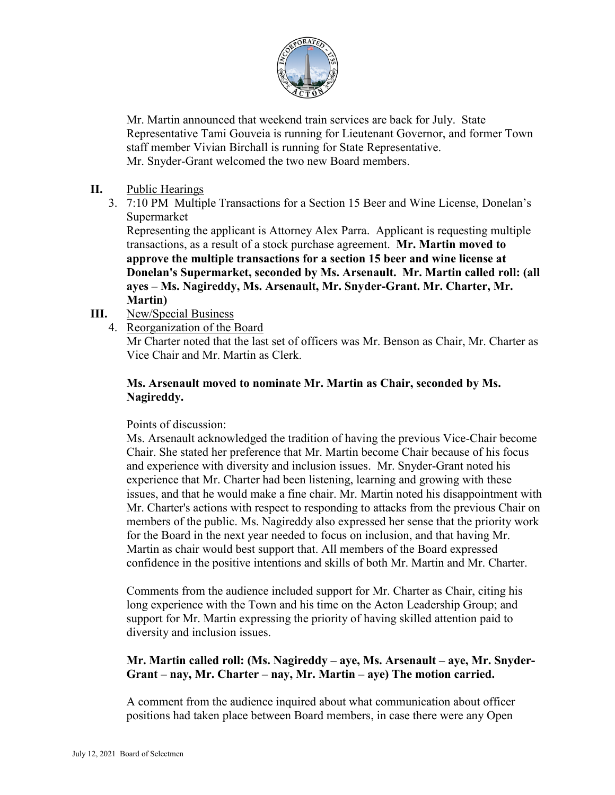

Mr. Martin announced that weekend train services are back for July. State Representative Tami Gouveia is running for Lieutenant Governor, and former Town staff member Vivian Birchall is running for State Representative. Mr. Snyder-Grant welcomed the two new Board members.

- **II.** Public Hearings
	- 3. 7:10 PM Multiple Transactions for a Section 15 Beer and Wine License, Donelan's Supermarket

Representing the applicant is Attorney Alex Parra. Applicant is requesting multiple transactions, as a result of a stock purchase agreement. **Mr. Martin moved to approve the multiple transactions for a section 15 beer and wine license at Donelan's Supermarket, seconded by Ms. Arsenault. Mr. Martin called roll: (all ayes – Ms. Nagireddy, Ms. Arsenault, Mr. Snyder-Grant. Mr. Charter, Mr. Martin)**

- **III.** New/Special Business
	- 4. Reorganization of the Board

Mr Charter noted that the last set of officers was Mr. Benson as Chair, Mr. Charter as Vice Chair and Mr. Martin as Clerk.

#### **Ms. Arsenault moved to nominate Mr. Martin as Chair, seconded by Ms. Nagireddy.**

#### Points of discussion:

Ms. Arsenault acknowledged the tradition of having the previous Vice-Chair become Chair. She stated her preference that Mr. Martin become Chair because of his focus and experience with diversity and inclusion issues. Mr. Snyder-Grant noted his experience that Mr. Charter had been listening, learning and growing with these issues, and that he would make a fine chair. Mr. Martin noted his disappointment with Mr. Charter's actions with respect to responding to attacks from the previous Chair on members of the public. Ms. Nagireddy also expressed her sense that the priority work for the Board in the next year needed to focus on inclusion, and that having Mr. Martin as chair would best support that. All members of the Board expressed confidence in the positive intentions and skills of both Mr. Martin and Mr. Charter.

Comments from the audience included support for Mr. Charter as Chair, citing his long experience with the Town and his time on the Acton Leadership Group; and support for Mr. Martin expressing the priority of having skilled attention paid to diversity and inclusion issues.

#### **Mr. Martin called roll: (Ms. Nagireddy – aye, Ms. Arsenault – aye, Mr. Snyder-Grant – nay, Mr. Charter – nay, Mr. Martin – aye) The motion carried.**

A comment from the audience inquired about what communication about officer positions had taken place between Board members, in case there were any Open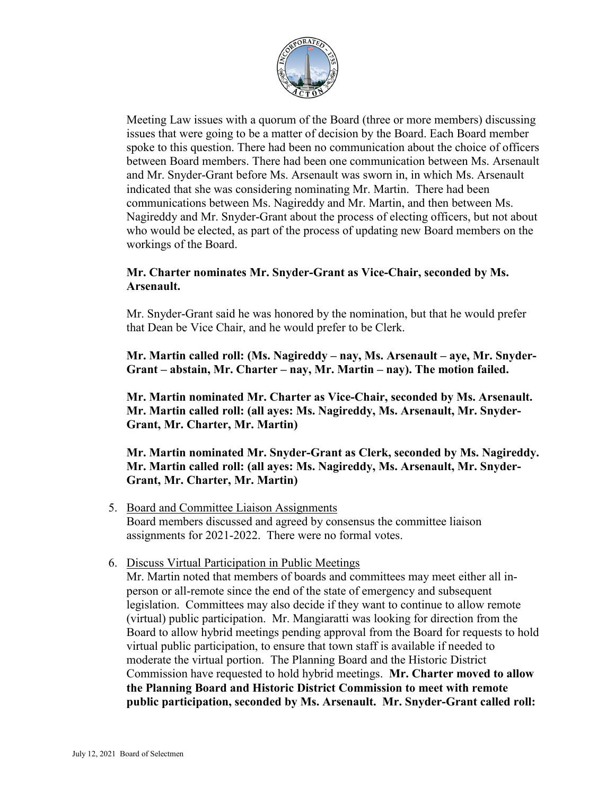

Meeting Law issues with a quorum of the Board (three or more members) discussing issues that were going to be a matter of decision by the Board. Each Board member spoke to this question. There had been no communication about the choice of officers between Board members. There had been one communication between Ms. Arsenault and Mr. Snyder-Grant before Ms. Arsenault was sworn in, in which Ms. Arsenault indicated that she was considering nominating Mr. Martin. There had been communications between Ms. Nagireddy and Mr. Martin, and then between Ms. Nagireddy and Mr. Snyder-Grant about the process of electing officers, but not about who would be elected, as part of the process of updating new Board members on the workings of the Board.

## **Mr. Charter nominates Mr. Snyder-Grant as Vice-Chair, seconded by Ms. Arsenault.**

Mr. Snyder-Grant said he was honored by the nomination, but that he would prefer that Dean be Vice Chair, and he would prefer to be Clerk.

**Mr. Martin called roll: (Ms. Nagireddy – nay, Ms. Arsenault – aye, Mr. Snyder-Grant – abstain, Mr. Charter – nay, Mr. Martin – nay). The motion failed.**

**Mr. Martin nominated Mr. Charter as Vice-Chair, seconded by Ms. Arsenault. Mr. Martin called roll: (all ayes: Ms. Nagireddy, Ms. Arsenault, Mr. Snyder-Grant, Mr. Charter, Mr. Martin)**

**Mr. Martin nominated Mr. Snyder-Grant as Clerk, seconded by Ms. Nagireddy. Mr. Martin called roll: (all ayes: Ms. Nagireddy, Ms. Arsenault, Mr. Snyder-Grant, Mr. Charter, Mr. Martin)**

- 5. Board and Committee Liaison Assignments Board members discussed and agreed by consensus the committee liaison assignments for 2021-2022. There were no formal votes.
- 6. Discuss Virtual Participation in Public Meetings

Mr. Martin noted that members of boards and committees may meet either all inperson or all-remote since the end of the state of emergency and subsequent legislation. Committees may also decide if they want to continue to allow remote (virtual) public participation. Mr. Mangiaratti was looking for direction from the Board to allow hybrid meetings pending approval from the Board for requests to hold virtual public participation, to ensure that town staff is available if needed to moderate the virtual portion. The Planning Board and the Historic District Commission have requested to hold hybrid meetings. **Mr. Charter moved to allow the Planning Board and Historic District Commission to meet with remote public participation, seconded by Ms. Arsenault. Mr. Snyder-Grant called roll:**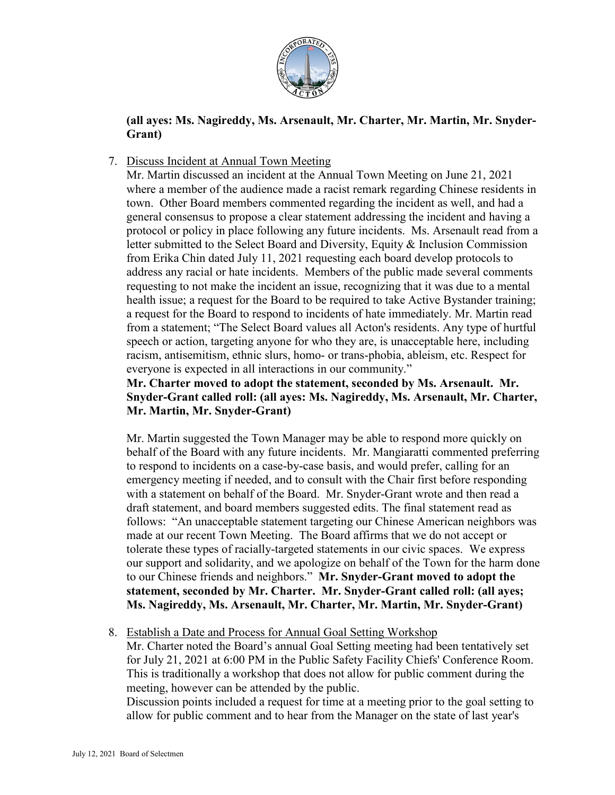

## **(all ayes: Ms. Nagireddy, Ms. Arsenault, Mr. Charter, Mr. Martin, Mr. Snyder-Grant)**

## 7. Discuss Incident at Annual Town Meeting

Mr. Martin discussed an incident at the Annual Town Meeting on June 21, 2021 where a member of the audience made a racist remark regarding Chinese residents in town. Other Board members commented regarding the incident as well, and had a general consensus to propose a clear statement addressing the incident and having a protocol or policy in place following any future incidents. Ms. Arsenault read from a letter submitted to the Select Board and Diversity, Equity & Inclusion Commission from Erika Chin dated July 11, 2021 requesting each board develop protocols to address any racial or hate incidents. Members of the public made several comments requesting to not make the incident an issue, recognizing that it was due to a mental health issue; a request for the Board to be required to take Active Bystander training; a request for the Board to respond to incidents of hate immediately. Mr. Martin read from a statement; "The Select Board values all Acton's residents. Any type of hurtful speech or action, targeting anyone for who they are, is unacceptable here, including racism, antisemitism, ethnic slurs, homo- or trans-phobia, ableism, etc. Respect for everyone is expected in all interactions in our community."

## **Mr. Charter moved to adopt the statement, seconded by Ms. Arsenault. Mr. Snyder-Grant called roll: (all ayes: Ms. Nagireddy, Ms. Arsenault, Mr. Charter, Mr. Martin, Mr. Snyder-Grant)**

Mr. Martin suggested the Town Manager may be able to respond more quickly on behalf of the Board with any future incidents. Mr. Mangiaratti commented preferring to respond to incidents on a case-by-case basis, and would prefer, calling for an emergency meeting if needed, and to consult with the Chair first before responding with a statement on behalf of the Board. Mr. Snyder-Grant wrote and then read a draft statement, and board members suggested edits. The final statement read as follows: "An unacceptable statement targeting our Chinese American neighbors was made at our recent Town Meeting. The Board affirms that we do not accept or tolerate these types of racially-targeted statements in our civic spaces. We express our support and solidarity, and we apologize on behalf of the Town for the harm done to our Chinese friends and neighbors." **Mr. Snyder-Grant moved to adopt the statement, seconded by Mr. Charter. Mr. Snyder-Grant called roll: (all ayes; Ms. Nagireddy, Ms. Arsenault, Mr. Charter, Mr. Martin, Mr. Snyder-Grant)**

## 8. Establish a Date and Process for Annual Goal Setting Workshop

Mr. Charter noted the Board's annual Goal Setting meeting had been tentatively set for July 21, 2021 at 6:00 PM in the Public Safety Facility Chiefs' Conference Room. This is traditionally a workshop that does not allow for public comment during the meeting, however can be attended by the public.

Discussion points included a request for time at a meeting prior to the goal setting to allow for public comment and to hear from the Manager on the state of last year's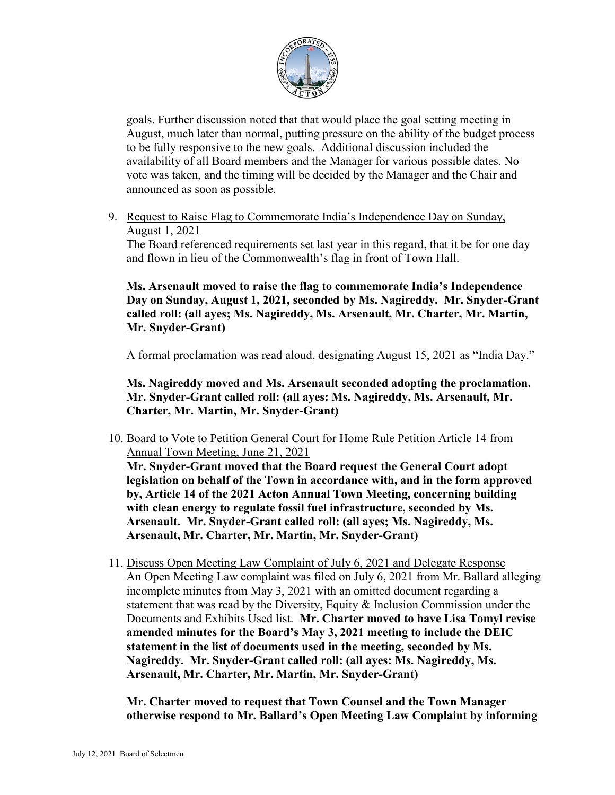

goals. Further discussion noted that that would place the goal setting meeting in August, much later than normal, putting pressure on the ability of the budget process to be fully responsive to the new goals. Additional discussion included the availability of all Board members and the Manager for various possible dates. No vote was taken, and the timing will be decided by the Manager and the Chair and announced as soon as possible.

9. Request to Raise Flag to Commemorate India's Independence Day on Sunday, August 1, 2021

The Board referenced requirements set last year in this regard, that it be for one day and flown in lieu of the Commonwealth's flag in front of Town Hall.

**Ms. Arsenault moved to raise the flag to commemorate India's Independence Day on Sunday, August 1, 2021, seconded by Ms. Nagireddy. Mr. Snyder-Grant called roll: (all ayes; Ms. Nagireddy, Ms. Arsenault, Mr. Charter, Mr. Martin, Mr. Snyder-Grant)**

A formal proclamation was read aloud, designating August 15, 2021 as "India Day."

**Ms. Nagireddy moved and Ms. Arsenault seconded adopting the proclamation. Mr. Snyder-Grant called roll: (all ayes: Ms. Nagireddy, Ms. Arsenault, Mr. Charter, Mr. Martin, Mr. Snyder-Grant)**

10. Board to Vote to Petition General Court for Home Rule Petition Article 14 from Annual Town Meeting, June 21, 2021

**Mr. Snyder-Grant moved that the Board request the General Court adopt legislation on behalf of the Town in accordance with, and in the form approved by, Article 14 of the 2021 Acton Annual Town Meeting, concerning building with clean energy to regulate fossil fuel infrastructure, seconded by Ms. Arsenault. Mr. Snyder-Grant called roll: (all ayes; Ms. Nagireddy, Ms. Arsenault, Mr. Charter, Mr. Martin, Mr. Snyder-Grant)**

11. Discuss Open Meeting Law Complaint of July 6, 2021 and Delegate Response An Open Meeting Law complaint was filed on July 6, 2021 from Mr. Ballard alleging incomplete minutes from May 3, 2021 with an omitted document regarding a statement that was read by the Diversity, Equity  $\&$  Inclusion Commission under the Documents and Exhibits Used list. **Mr. Charter moved to have Lisa Tomyl revise amended minutes for the Board's May 3, 2021 meeting to include the DEIC statement in the list of documents used in the meeting, seconded by Ms. Nagireddy. Mr. Snyder-Grant called roll: (all ayes: Ms. Nagireddy, Ms. Arsenault, Mr. Charter, Mr. Martin, Mr. Snyder-Grant)**

**Mr. Charter moved to request that Town Counsel and the Town Manager otherwise respond to Mr. Ballard's Open Meeting Law Complaint by informing**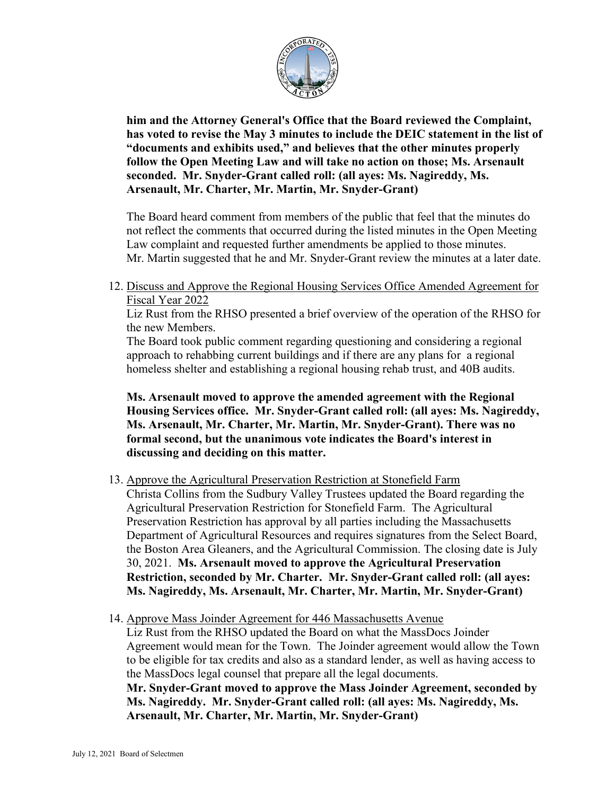

**him and the Attorney General's Office that the Board reviewed the Complaint, has voted to revise the May 3 minutes to include the DEIC statement in the list of "documents and exhibits used," and believes that the other minutes properly follow the Open Meeting Law and will take no action on those; Ms. Arsenault seconded. Mr. Snyder-Grant called roll: (all ayes: Ms. Nagireddy, Ms. Arsenault, Mr. Charter, Mr. Martin, Mr. Snyder-Grant)**

The Board heard comment from members of the public that feel that the minutes do not reflect the comments that occurred during the listed minutes in the Open Meeting Law complaint and requested further amendments be applied to those minutes. Mr. Martin suggested that he and Mr. Snyder-Grant review the minutes at a later date.

12. Discuss and Approve the Regional Housing Services Office Amended Agreement for Fiscal Year 2022

Liz Rust from the RHSO presented a brief overview of the operation of the RHSO for the new Members.

The Board took public comment regarding questioning and considering a regional approach to rehabbing current buildings and if there are any plans for a regional homeless shelter and establishing a regional housing rehab trust, and 40B audits.

**Ms. Arsenault moved to approve the amended agreement with the Regional Housing Services office. Mr. Snyder-Grant called roll: (all ayes: Ms. Nagireddy, Ms. Arsenault, Mr. Charter, Mr. Martin, Mr. Snyder-Grant). There was no formal second, but the unanimous vote indicates the Board's interest in discussing and deciding on this matter.** 

- 13. Approve the Agricultural Preservation Restriction at Stonefield Farm Christa Collins from the Sudbury Valley Trustees updated the Board regarding the Agricultural Preservation Restriction for Stonefield Farm. The Agricultural Preservation Restriction has approval by all parties including the Massachusetts Department of Agricultural Resources and requires signatures from the Select Board, the Boston Area Gleaners, and the Agricultural Commission. The closing date is July 30, 2021. **Ms. Arsenault moved to approve the Agricultural Preservation Restriction, seconded by Mr. Charter. Mr. Snyder-Grant called roll: (all ayes: Ms. Nagireddy, Ms. Arsenault, Mr. Charter, Mr. Martin, Mr. Snyder-Grant)**
- 14. Approve Mass Joinder Agreement for 446 Massachusetts Avenue

Liz Rust from the RHSO updated the Board on what the MassDocs Joinder Agreement would mean for the Town. The Joinder agreement would allow the Town to be eligible for tax credits and also as a standard lender, as well as having access to the MassDocs legal counsel that prepare all the legal documents.

**Mr. Snyder-Grant moved to approve the Mass Joinder Agreement, seconded by Ms. Nagireddy. Mr. Snyder-Grant called roll: (all ayes: Ms. Nagireddy, Ms. Arsenault, Mr. Charter, Mr. Martin, Mr. Snyder-Grant)**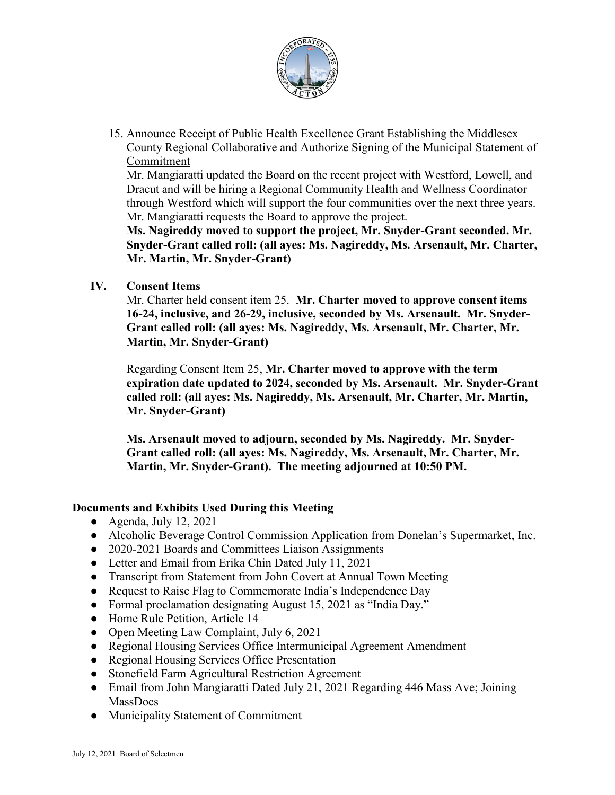

15. Announce Receipt of Public Health Excellence Grant Establishing the Middlesex County Regional Collaborative and Authorize Signing of the Municipal Statement of Commitment

Mr. Mangiaratti updated the Board on the recent project with Westford, Lowell, and Dracut and will be hiring a Regional Community Health and Wellness Coordinator through Westford which will support the four communities over the next three years. Mr. Mangiaratti requests the Board to approve the project.

**Ms. Nagireddy moved to support the project, Mr. Snyder-Grant seconded. Mr. Snyder-Grant called roll: (all ayes: Ms. Nagireddy, Ms. Arsenault, Mr. Charter, Mr. Martin, Mr. Snyder-Grant)**

**IV. Consent Items** 

Mr. Charter held consent item 25. **Mr. Charter moved to approve consent items 16-24, inclusive, and 26-29, inclusive, seconded by Ms. Arsenault. Mr. Snyder-Grant called roll: (all ayes: Ms. Nagireddy, Ms. Arsenault, Mr. Charter, Mr. Martin, Mr. Snyder-Grant)**

Regarding Consent Item 25, **Mr. Charter moved to approve with the term expiration date updated to 2024, seconded by Ms. Arsenault. Mr. Snyder-Grant called roll: (all ayes: Ms. Nagireddy, Ms. Arsenault, Mr. Charter, Mr. Martin, Mr. Snyder-Grant)**

**Ms. Arsenault moved to adjourn, seconded by Ms. Nagireddy. Mr. Snyder-Grant called roll: (all ayes: Ms. Nagireddy, Ms. Arsenault, Mr. Charter, Mr. Martin, Mr. Snyder-Grant). The meeting adjourned at 10:50 PM.**

## **Documents and Exhibits Used During this Meeting**

- $\bullet$  Agenda, July 12, 2021
- Alcoholic Beverage Control Commission Application from Donelan's Supermarket, Inc.
- 2020-2021 Boards and Committees Liaison Assignments
- Letter and Email from Erika Chin Dated July 11, 2021
- Transcript from Statement from John Covert at Annual Town Meeting
- Request to Raise Flag to Commemorate India's Independence Day
- Formal proclamation designating August 15, 2021 as "India Day."
- Home Rule Petition, Article 14
- Open Meeting Law Complaint, July 6, 2021
- Regional Housing Services Office Intermunicipal Agreement Amendment
- Regional Housing Services Office Presentation
- Stonefield Farm Agricultural Restriction Agreement
- Email from John Mangiaratti Dated July 21, 2021 Regarding 446 Mass Ave; Joining MassDocs
- Municipality Statement of Commitment